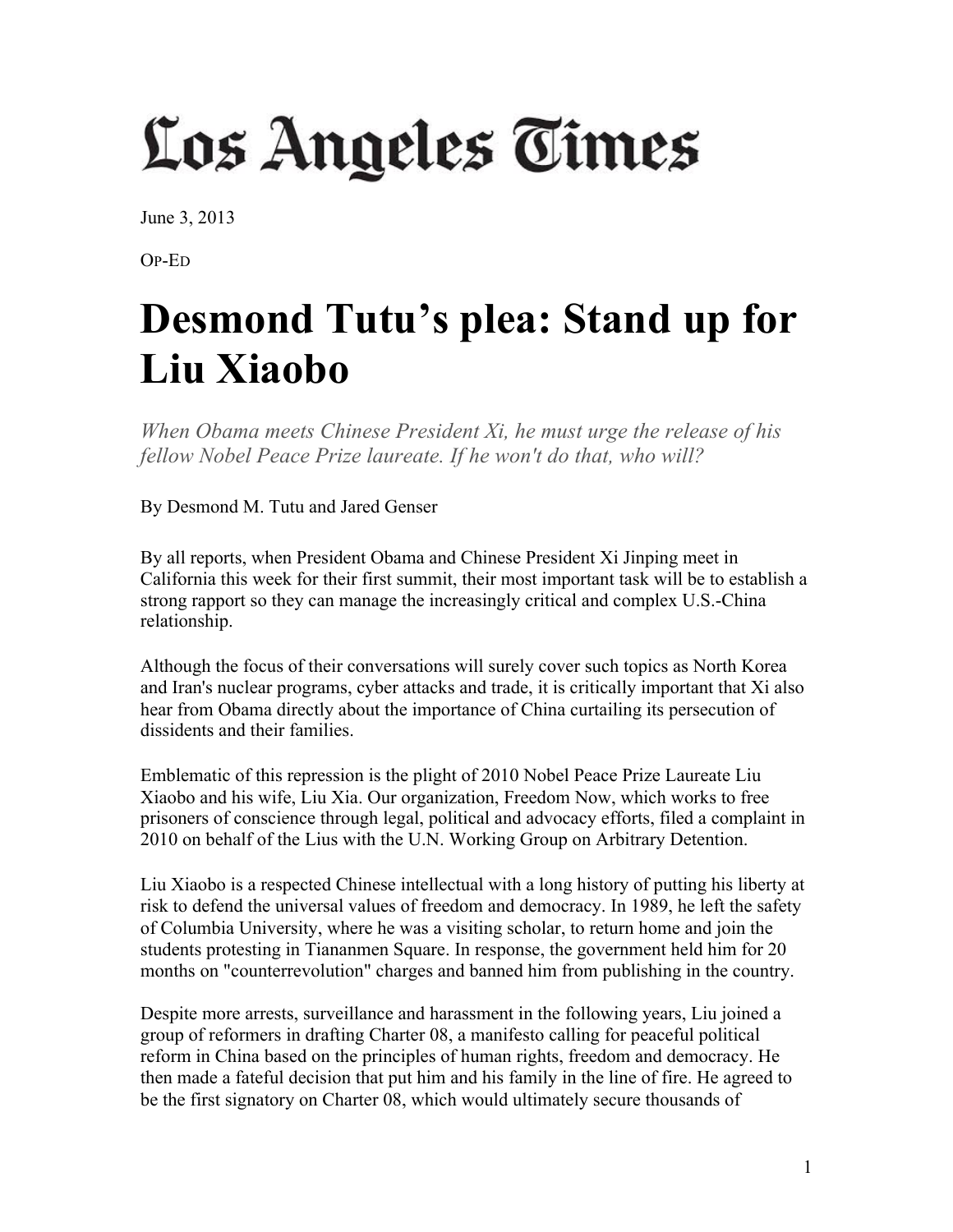## Los Angeles Times

June 3, 2013

OP-ED

## **Desmond Tutu's plea: Stand up for Liu Xiaobo**

*When Obama meets Chinese President Xi, he must urge the release of his fellow Nobel Peace Prize laureate. If he won't do that, who will?*

By Desmond M. Tutu and Jared Genser

By all reports, when President Obama and Chinese President Xi Jinping meet in California this week for their first summit, their most important task will be to establish a strong rapport so they can manage the increasingly critical and complex U.S.-China relationship.

Although the focus of their conversations will surely cover such topics as North Korea and Iran's nuclear programs, cyber attacks and trade, it is critically important that Xi also hear from Obama directly about the importance of China curtailing its persecution of dissidents and their families.

Emblematic of this repression is the plight of 2010 Nobel Peace Prize Laureate Liu Xiaobo and his wife, Liu Xia. Our organization, Freedom Now, which works to free prisoners of conscience through legal, political and advocacy efforts, filed a complaint in 2010 on behalf of the Lius with the U.N. Working Group on Arbitrary Detention.

Liu Xiaobo is a respected Chinese intellectual with a long history of putting his liberty at risk to defend the universal values of freedom and democracy. In 1989, he left the safety of Columbia University, where he was a visiting scholar, to return home and join the students protesting in Tiananmen Square. In response, the government held him for 20 months on "counterrevolution" charges and banned him from publishing in the country.

Despite more arrests, surveillance and harassment in the following years, Liu joined a group of reformers in drafting Charter 08, a manifesto calling for peaceful political reform in China based on the principles of human rights, freedom and democracy. He then made a fateful decision that put him and his family in the line of fire. He agreed to be the first signatory on Charter 08, which would ultimately secure thousands of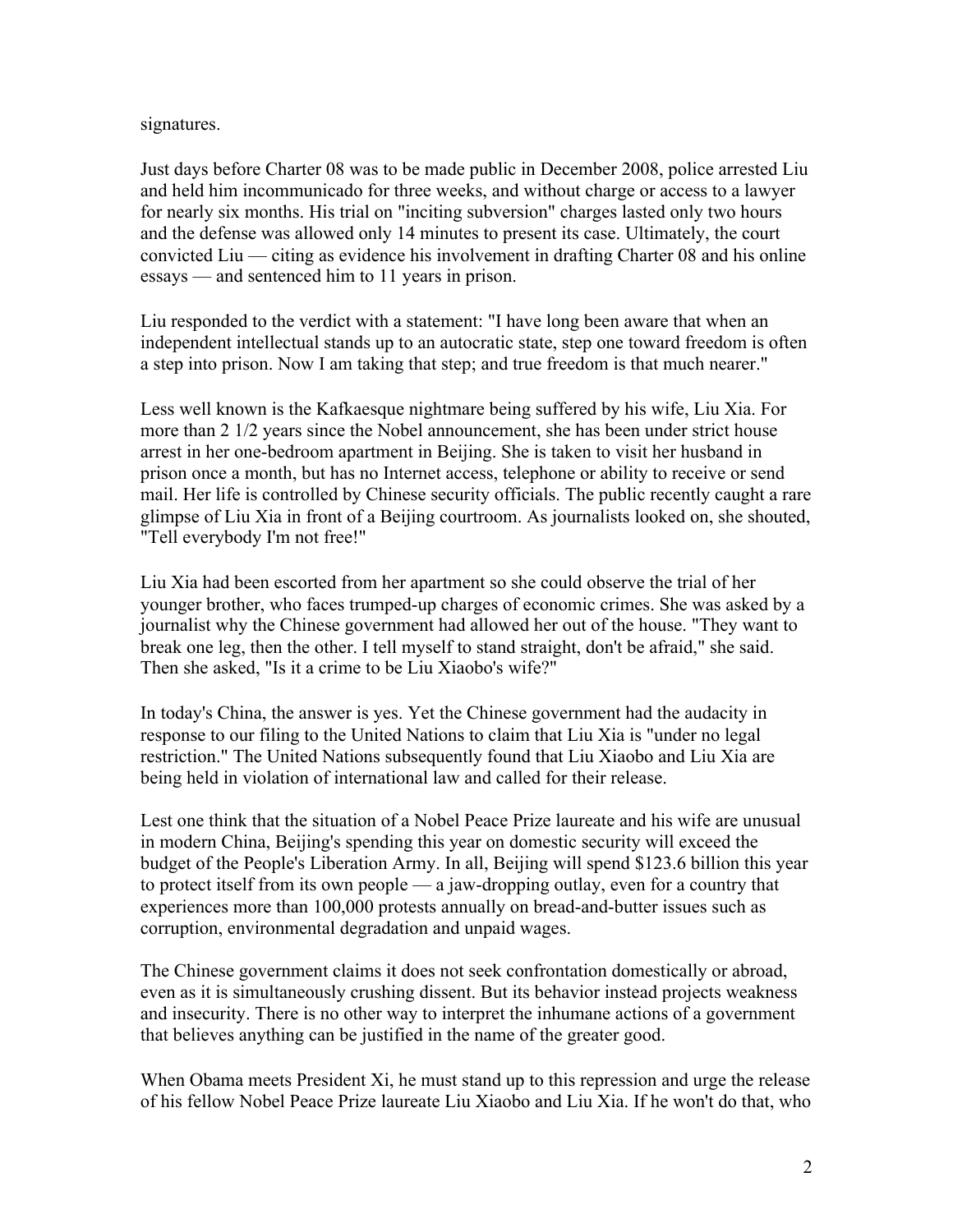## signatures.

Just days before Charter 08 was to be made public in December 2008, police arrested Liu and held him incommunicado for three weeks, and without charge or access to a lawyer for nearly six months. His trial on "inciting subversion" charges lasted only two hours and the defense was allowed only 14 minutes to present its case. Ultimately, the court convicted Liu — citing as evidence his involvement in drafting Charter 08 and his online essays — and sentenced him to 11 years in prison.

Liu responded to the verdict with a statement: "I have long been aware that when an independent intellectual stands up to an autocratic state, step one toward freedom is often a step into prison. Now I am taking that step; and true freedom is that much nearer."

Less well known is the Kafkaesque nightmare being suffered by his wife, Liu Xia. For more than 2 1/2 years since the Nobel announcement, she has been under strict house arrest in her one-bedroom apartment in Beijing. She is taken to visit her husband in prison once a month, but has no Internet access, telephone or ability to receive or send mail. Her life is controlled by Chinese security officials. The public recently caught a rare glimpse of Liu Xia in front of a Beijing courtroom. As journalists looked on, she shouted, "Tell everybody I'm not free!"

Liu Xia had been escorted from her apartment so she could observe the trial of her younger brother, who faces trumped-up charges of economic crimes. She was asked by a journalist why the Chinese government had allowed her out of the house. "They want to break one leg, then the other. I tell myself to stand straight, don't be afraid," she said. Then she asked, "Is it a crime to be Liu Xiaobo's wife?"

In today's China, the answer is yes. Yet the Chinese government had the audacity in response to our filing to the United Nations to claim that Liu Xia is "under no legal restriction." The United Nations subsequently found that Liu Xiaobo and Liu Xia are being held in violation of international law and called for their release.

Lest one think that the situation of a Nobel Peace Prize laureate and his wife are unusual in modern China, Beijing's spending this year on domestic security will exceed the budget of the People's Liberation Army. In all, Beijing will spend \$123.6 billion this year to protect itself from its own people — a jaw-dropping outlay, even for a country that experiences more than 100,000 protests annually on bread-and-butter issues such as corruption, environmental degradation and unpaid wages.

The Chinese government claims it does not seek confrontation domestically or abroad, even as it is simultaneously crushing dissent. But its behavior instead projects weakness and insecurity. There is no other way to interpret the inhumane actions of a government that believes anything can be justified in the name of the greater good.

When Obama meets President Xi, he must stand up to this repression and urge the release of his fellow Nobel Peace Prize laureate Liu Xiaobo and Liu Xia. If he won't do that, who